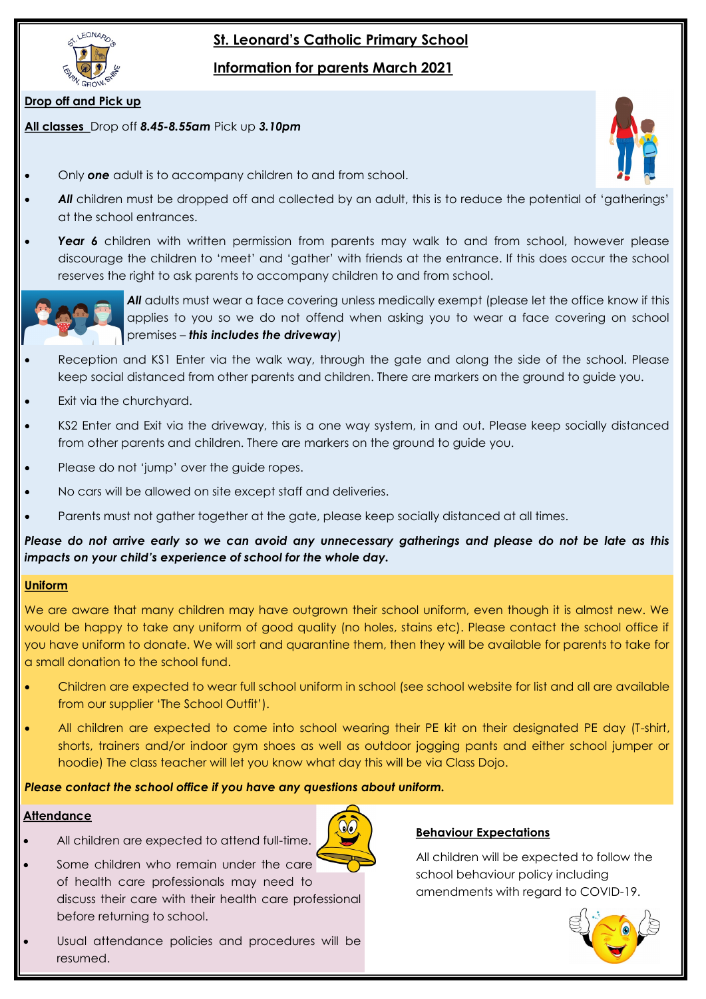

# **St. Leonard's Catholic Primary School**

**Information for parents March 2021**

# **Drop off and Pick up**

# **All classes** Drop off *8.45-8.55am* Pick up *3.10pm*

- Only *one* adult is to accompany children to and from school.
- *All* children must be dropped off and collected by an adult, this is to reduce the potential of 'gatherings' at the school entrances.
- **Year 6** children with written permission from parents may walk to and from school, however please discourage the children to 'meet' and 'gather' with friends at the entrance. If this does occur the school reserves the right to ask parents to accompany children to and from school.



All adults must wear a face covering unless medically exempt (please let the office know if this applies to you so we do not offend when asking you to wear a face covering on school premises – *this includes the driveway*)

- Reception and KS1 Enter via the walk way, through the gate and along the side of the school. Please keep social distanced from other parents and children. There are markers on the ground to guide you.
- Exit via the churchyard.
- KS2 Enter and Exit via the driveway, this is a one way system, in and out. Please keep socially distanced from other parents and children. There are markers on the ground to guide you.
- Please do not 'jump' over the guide ropes.
- No cars will be allowed on site except staff and deliveries.
- Parents must not gather together at the gate, please keep socially distanced at all times.

*Please do not arrive early so we can avoid any unnecessary gatherings and please do not be late as this impacts on your child's experience of school for the whole day.* 

# **Uniform**

We are aware that many children may have outgrown their school uniform, even though it is almost new. We would be happy to take any uniform of good quality (no holes, stains etc). Please contact the school office if you have uniform to donate. We will sort and quarantine them, then they will be available for parents to take for a small donation to the school fund.

- Children are expected to wear full school uniform in school (see school website for list and all are available from our supplier 'The School Outfit').
- All children are expected to come into school wearing their PE kit on their designated PE day (T-shirt, shorts, trainers and/or indoor gym shoes as well as outdoor jogging pants and either school jumper or hoodie) The class teacher will let you know what day this will be via Class Dojo.

 $\odot$ 

# *Please contact the school office if you have any questions about uniform.*

# **Attendance**

- All children are expected to attend full-time.
- Some children who remain under the care of health care professionals may need to discuss their care with their health care professional before returning to school.
- Usual attendance policies and procedures will be resumed.

# **Behaviour Expectations**

All children will be expected to follow the school behaviour policy including amendments with regard to COVID-19.



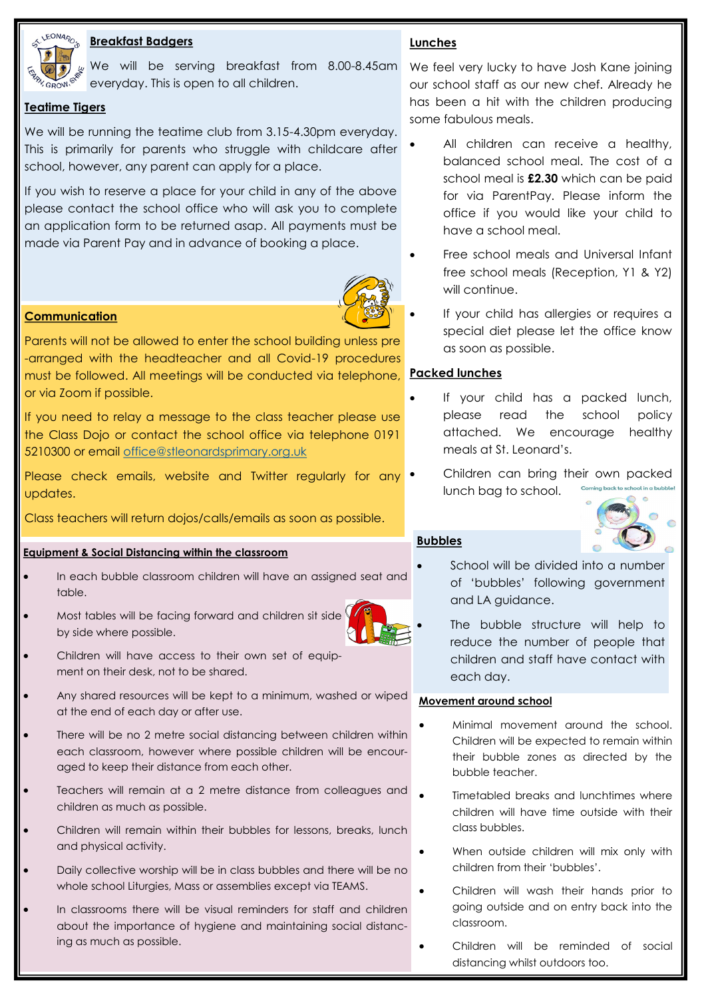

# **Breakfast Badgers**

We will be serving breakfast from 8.00-8.45am We feel very lucky to have Josh Kane joining everyday. This is open to all children.

# **Teatime Tigers**

We will be running the teatime club from 3.15-4.30pm everyday. This is primarily for parents who struggle with childcare after school, however, any parent can apply for a place.

If you wish to reserve a place for your child in any of the above please contact the school office who will ask you to complete an application form to be returned asap. All payments must be made via Parent Pay and in advance of booking a place.



# **Communication**

Parents will not be allowed to enter the school building unless pre -arranged with the headteacher and all Covid-19 procedures must be followed. All meetings will be conducted via telephone, **Packed lunches** or via Zoom if possible.

If you need to relay a message to the class teacher please use the Class Dojo or contact the school office via telephone 0191 5210300 or email [office@stleonardsprimary.org.uk](mailto:office@stleonardsprimary.org.uk)

Please check emails, website and Twitter regularly for any updates.

Class teachers will return dojos/calls/emails as soon as possible.

## **Equipment & Social Distancing within the classroom**

- In each bubble classroom children will have an assigned seat and table.
- Most tables will be facing forward and children sit side by side where possible.
- Children will have access to their own set of equipment on their desk, not to be shared.
- Any shared resources will be kept to a minimum, washed or wiped at the end of each day or after use.
- There will be no 2 metre social distancing between children within each classroom, however where possible children will be encouraged to keep their distance from each other.
- Teachers will remain at a 2 metre distance from colleagues and children as much as possible.
- Children will remain within their bubbles for lessons, breaks, lunch and physical activity.
- Daily collective worship will be in class bubbles and there will be no whole school Liturgies, Mass or assemblies except via TEAMS.
- In classrooms there will be visual reminders for staff and children about the importance of hygiene and maintaining social distancing as much as possible.

# **Lunches**

our school staff as our new chef. Already he has been a hit with the children producing some fabulous meals.

- All children can receive a healthy, balanced school meal. The cost of a school meal is **£2.30** which can be paid for via ParentPay. Please inform the office if you would like your child to have a school meal.
- Free school meals and Universal Infant free school meals (Reception, Y1 & Y2) will continue.
- If your child has allergies or requires a special diet please let the office know as soon as possible.

- If your child has a packed lunch, please read the school policy attached. We encourage healthy meals at St. Leonard's.
- Children can bring their own packed lunch bag to school.



# **Bubbles**

- School will be divided into a number of 'bubbles' following government and LA guidance.
- The bubble structure will help to reduce the number of people that children and staff have contact with each day.

## **Movement around school**

- Minimal movement around the school. Children will be expected to remain within their bubble zones as directed by the bubble teacher.
- Timetabled breaks and lunchtimes where children will have time outside with their class bubbles.
- When outside children will mix only with children from their 'bubbles'.
- Children will wash their hands prior to going outside and on entry back into the classroom.
- Children will be reminded of social distancing whilst outdoors too.